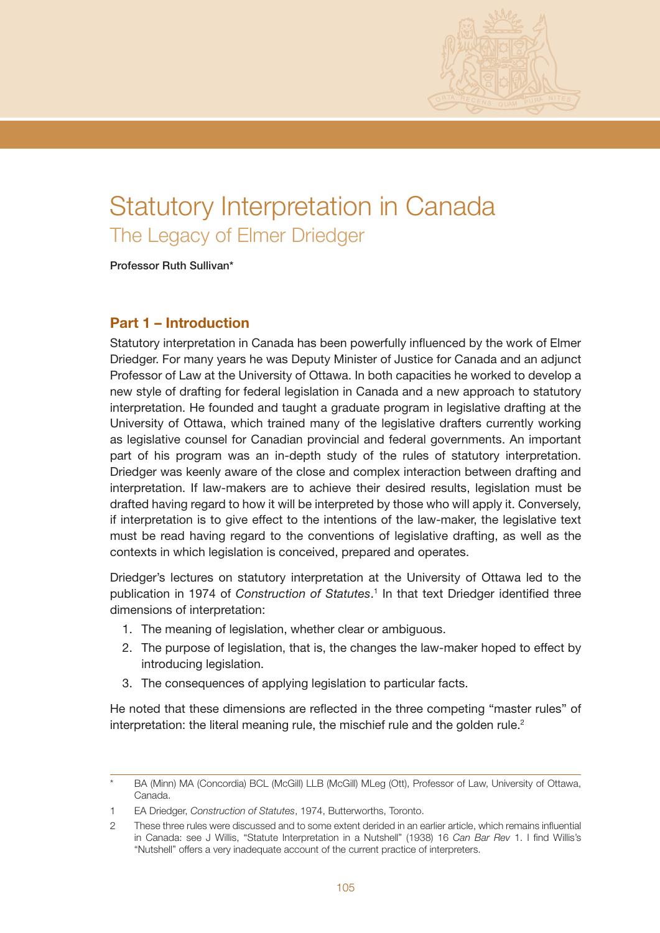

# Statutory Interpretation in Canada The Legacy of Elmer Driedger

Professor Ruth Sullivan\*

# **Part 1 – Introduction**

Statutory interpretation in Canada has been powerfully influenced by the work of Elmer Driedger. For many years he was Deputy Minister of Justice for Canada and an adjunct Professor of Law at the University of Ottawa. In both capacities he worked to develop a new style of drafting for federal legislation in Canada and a new approach to statutory interpretation. He founded and taught a graduate program in legislative drafting at the University of Ottawa, which trained many of the legislative drafters currently working as legislative counsel for Canadian provincial and federal governments. An important part of his program was an in-depth study of the rules of statutory interpretation. Driedger was keenly aware of the close and complex interaction between drafting and interpretation. If law-makers are to achieve their desired results, legislation must be drafted having regard to how it will be interpreted by those who will apply it. Conversely, if interpretation is to give effect to the intentions of the law-maker, the legislative text must be read having regard to the conventions of legislative drafting, as well as the contexts in which legislation is conceived, prepared and operates.

Driedger's lectures on statutory interpretation at the University of Ottawa led to the publication in 1974 of *Construction of Statutes*.<sup>1</sup> In that text Driedger identified three dimensions of interpretation:

- 1. The meaning of legislation, whether clear or ambiguous.
- 2. The purpose of legislation, that is, the changes the law-maker hoped to effect by introducing legislation.
- 3. The consequences of applying legislation to particular facts.

He noted that these dimensions are reflected in the three competing "master rules" of interpretation: the literal meaning rule, the mischief rule and the golden rule.<sup>2</sup>

<sup>\*</sup> BA (Minn) MA (Concordia) BCL (McGill) LLB (McGill) MLeg (Ott), Professor of Law, University of Ottawa, Canada.

<sup>1</sup> EA Driedger, *Construction of Statutes*, 1974, Butterworths, Toronto.

<sup>2</sup> These three rules were discussed and to some extent derided in an earlier article, which remains influential in Canada: see J Willis, "Statute Interpretation in a Nutshell" (1938) 16 *Can Bar Rev* 1. I find Willis's "Nutshell" offers a very inadequate account of the current practice of interpreters.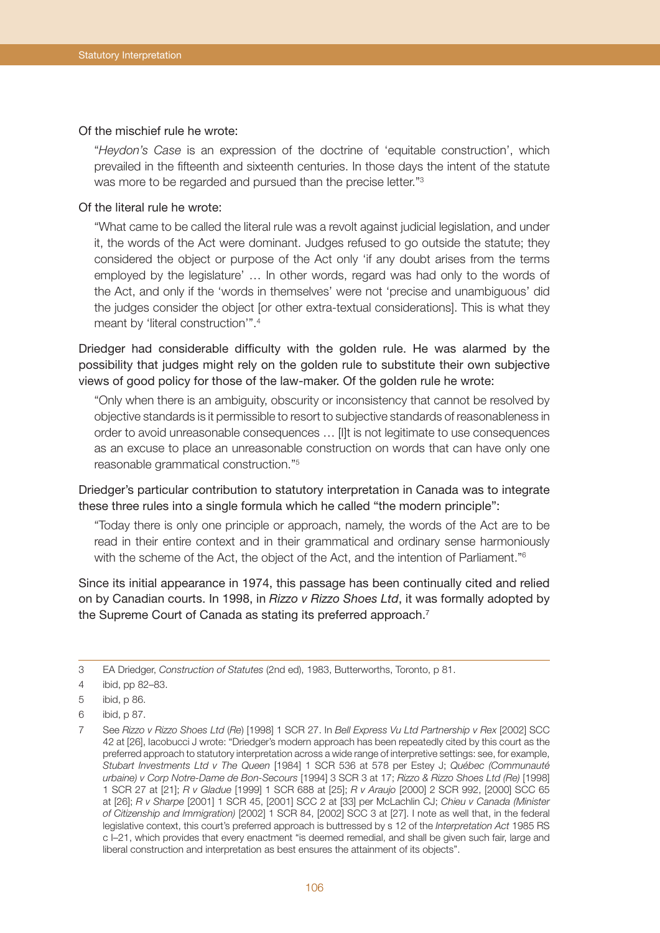#### Of the mischief rule he wrote:

"*Heydon's Case* is an expression of the doctrine of 'equitable construction', which prevailed in the fifteenth and sixteenth centuries. In those days the intent of the statute was more to be regarded and pursued than the precise letter."<sup>3</sup>

#### Of the literal rule he wrote:

"What came to be called the literal rule was a revolt against judicial legislation, and under it, the words of the Act were dominant. Judges refused to go outside the statute; they considered the object or purpose of the Act only 'if any doubt arises from the terms employed by the legislature' … In other words, regard was had only to the words of the Act, and only if the 'words in themselves' were not 'precise and unambiguous' did the judges consider the object [or other extra-textual considerations]. This is what they meant by 'literal construction'".4

Driedger had considerable difficulty with the golden rule. He was alarmed by the possibility that judges might rely on the golden rule to substitute their own subjective views of good policy for those of the law-maker. Of the golden rule he wrote:

"Only when there is an ambiguity, obscurity or inconsistency that cannot be resolved by objective standards is it permissible to resort to subjective standards of reasonableness in order to avoid unreasonable consequences … [I]t is not legitimate to use consequences as an excuse to place an unreasonable construction on words that can have only one reasonable grammatical construction."5

#### Driedger's particular contribution to statutory interpretation in Canada was to integrate these three rules into a single formula which he called "the modern principle":

"Today there is only one principle or approach, namely, the words of the Act are to be read in their entire context and in their grammatical and ordinary sense harmoniously with the scheme of the Act, the object of the Act, and the intention of Parliament."<sup>6</sup>

Since its initial appearance in 1974, this passage has been continually cited and relied on by Canadian courts. In 1998, in *Rizzo v Rizzo Shoes Ltd*, it was formally adopted by the Supreme Court of Canada as stating its preferred approach.<sup>7</sup>

6 ibid, p 87.

<sup>3</sup> EA Driedger, *Construction of Statutes* (2nd ed), 1983, Butterworths, Toronto, p 81.

<sup>4</sup> ibid, pp 82–83.

<sup>5</sup> ibid, p 86.

<sup>7</sup> See *Rizzo v Rizzo Shoes Ltd* (*Re*) [1998] 1 SCR 27. In *Bell Express Vu Ltd Partnership v Rex* [2002] SCC 42 at [26], Iacobucci J wrote: "Driedger's modern approach has been repeatedly cited by this court as the preferred approach to statutory interpretation across a wide range of interpretive settings: see, for example, *Stubart Investments Ltd v The Queen* [1984] 1 SCR 536 at 578 per Estey J; *Québec (Communauté urbaine) v Corp Notre-Dame de Bon-Secours* [1994] 3 SCR 3 at 17; *Rizzo & Rizzo Shoes Ltd (Re)* [1998] 1 SCR 27 at [21]; *R v Gladue* [1999] 1 SCR 688 at [25]; *R v Araujo* [2000] 2 SCR 992, [2000] SCC 65 at [26]; *R v Sharpe* [2001] 1 SCR 45, [2001] SCC 2 at [33] per McLachlin CJ; *Chieu v Canada (Minister of Citizenship and Immigration)* [2002] 1 SCR 84, [2002] SCC 3 at [27]. I note as well that, in the federal legislative context, this court's preferred approach is buttressed by s 12 of the *Interpretation Act* 1985 RS c I–21, which provides that every enactment "is deemed remedial, and shall be given such fair, large and liberal construction and interpretation as best ensures the attainment of its objects".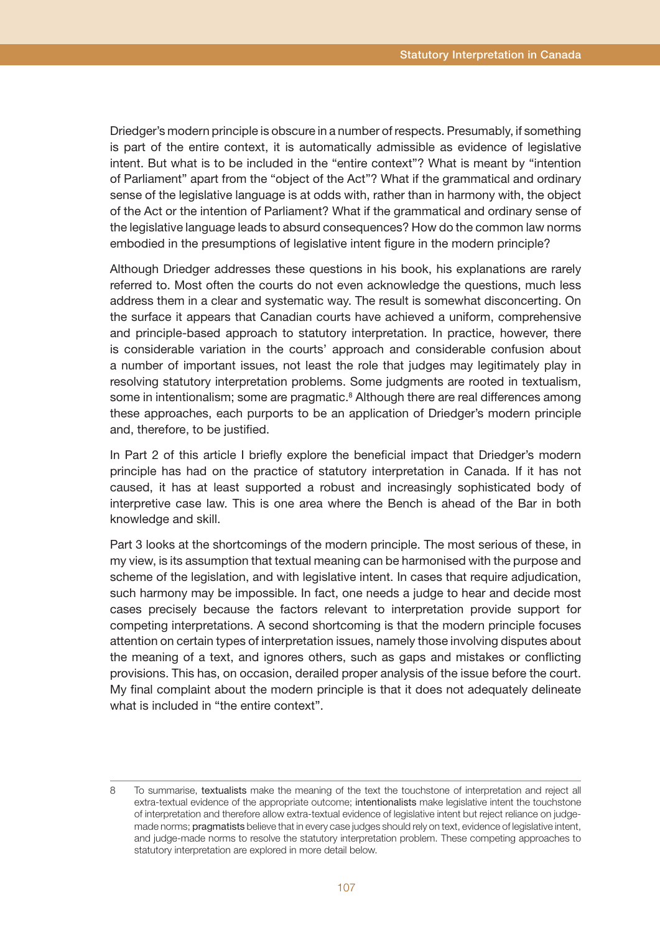Driedger's modern principle is obscure in a number of respects. Presumably, if something is part of the entire context, it is automatically admissible as evidence of legislative intent. But what is to be included in the "entire context"? What is meant by "intention of Parliament" apart from the "object of the Act"? What if the grammatical and ordinary sense of the legislative language is at odds with, rather than in harmony with, the object of the Act or the intention of Parliament? What if the grammatical and ordinary sense of the legislative language leads to absurd consequences? How do the common law norms embodied in the presumptions of legislative intent figure in the modern principle?

Although Driedger addresses these questions in his book, his explanations are rarely referred to. Most often the courts do not even acknowledge the questions, much less address them in a clear and systematic way. The result is somewhat disconcerting. On the surface it appears that Canadian courts have achieved a uniform, comprehensive and principle-based approach to statutory interpretation. In practice, however, there is considerable variation in the courts' approach and considerable confusion about a number of important issues, not least the role that judges may legitimately play in resolving statutory interpretation problems. Some judgments are rooted in textualism, some in intentionalism; some are pragmatic.<sup>8</sup> Although there are real differences among these approaches, each purports to be an application of Driedger's modern principle and, therefore, to be justified.

In Part 2 of this article I briefly explore the beneficial impact that Driedger's modern principle has had on the practice of statutory interpretation in Canada. If it has not caused, it has at least supported a robust and increasingly sophisticated body of interpretive case law. This is one area where the Bench is ahead of the Bar in both knowledge and skill.

Part 3 looks at the shortcomings of the modern principle. The most serious of these, in my view, is its assumption that textual meaning can be harmonised with the purpose and scheme of the legislation, and with legislative intent. In cases that require adjudication, such harmony may be impossible. In fact, one needs a judge to hear and decide most cases precisely because the factors relevant to interpretation provide support for competing interpretations. A second shortcoming is that the modern principle focuses attention on certain types of interpretation issues, namely those involving disputes about the meaning of a text, and ignores others, such as gaps and mistakes or conflicting provisions. This has, on occasion, derailed proper analysis of the issue before the court. My final complaint about the modern principle is that it does not adequately delineate what is included in "the entire context".

<sup>8</sup> To summarise, textualists make the meaning of the text the touchstone of interpretation and reject all extra-textual evidence of the appropriate outcome; intentionalists make legislative intent the touchstone of interpretation and therefore allow extra-textual evidence of legislative intent but reject reliance on judgemade norms; pragmatists believe that in every case judges should rely on text, evidence of legislative intent, and judge-made norms to resolve the statutory interpretation problem. These competing approaches to statutory interpretation are explored in more detail below.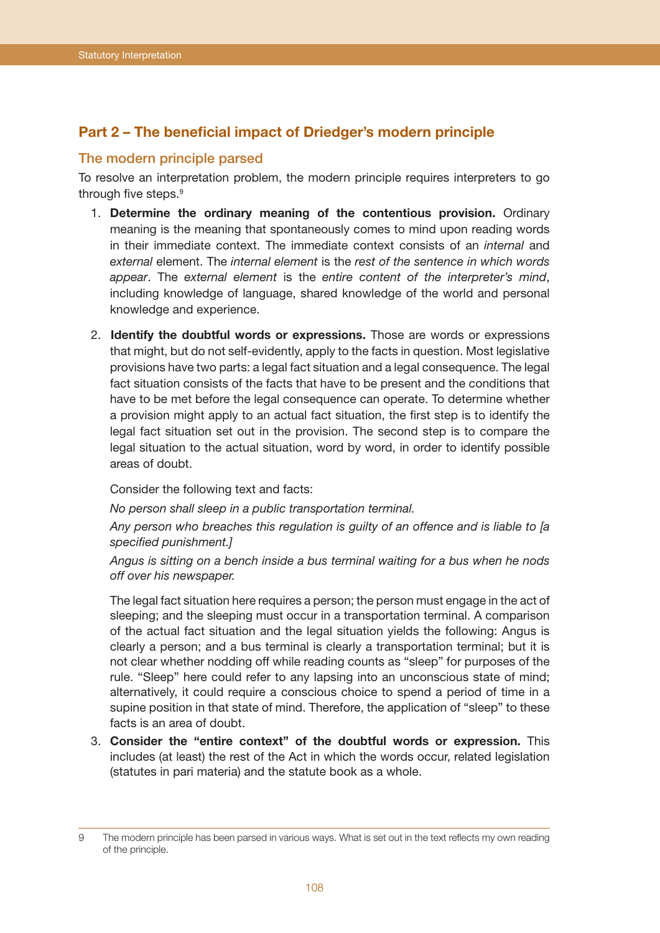# **Part 2 – The beneficial impact of Driedger's modern principle**

# The modern principle parsed

To resolve an interpretation problem, the modern principle requires interpreters to go through five steps.9

- 1. **Determine the ordinary meaning of the contentious provision.** Ordinary meaning is the meaning that spontaneously comes to mind upon reading words in their immediate context. The immediate context consists of an *internal* and *external* element. The *internal element* is the *rest of the sentence in which words appear*. The *external element* is the *entire content of the interpreter's mind*, including knowledge of language, shared knowledge of the world and personal knowledge and experience.
- 2. **Identify the doubtful words or expressions.** Those are words or expressions that might, but do not self-evidently, apply to the facts in question. Most legislative provisions have two parts: a legal fact situation and a legal consequence. The legal fact situation consists of the facts that have to be present and the conditions that have to be met before the legal consequence can operate. To determine whether a provision might apply to an actual fact situation, the first step is to identify the legal fact situation set out in the provision. The second step is to compare the legal situation to the actual situation, word by word, in order to identify possible areas of doubt.

Consider the following text and facts:

*No person shall sleep in a public transportation terminal.*

*Any person who breaches this regulation is guilty of an offence and is liable to [a specified punishment.]*

*Angus is sitting on a bench inside a bus terminal waiting for a bus when he nods off over his newspaper.*

The legal fact situation here requires a person; the person must engage in the act of sleeping; and the sleeping must occur in a transportation terminal. A comparison of the actual fact situation and the legal situation yields the following: Angus is clearly a person; and a bus terminal is clearly a transportation terminal; but it is not clear whether nodding off while reading counts as "sleep" for purposes of the rule. "Sleep" here could refer to any lapsing into an unconscious state of mind; alternatively, it could require a conscious choice to spend a period of time in a supine position in that state of mind. Therefore, the application of "sleep" to these facts is an area of doubt.

3. **Consider the "entire context" of the doubtful words or expression.** This includes (at least) the rest of the Act in which the words occur, related legislation (statutes in pari materia) and the statute book as a whole.

<sup>9</sup> The modern principle has been parsed in various ways. What is set out in the text reflects my own reading of the principle.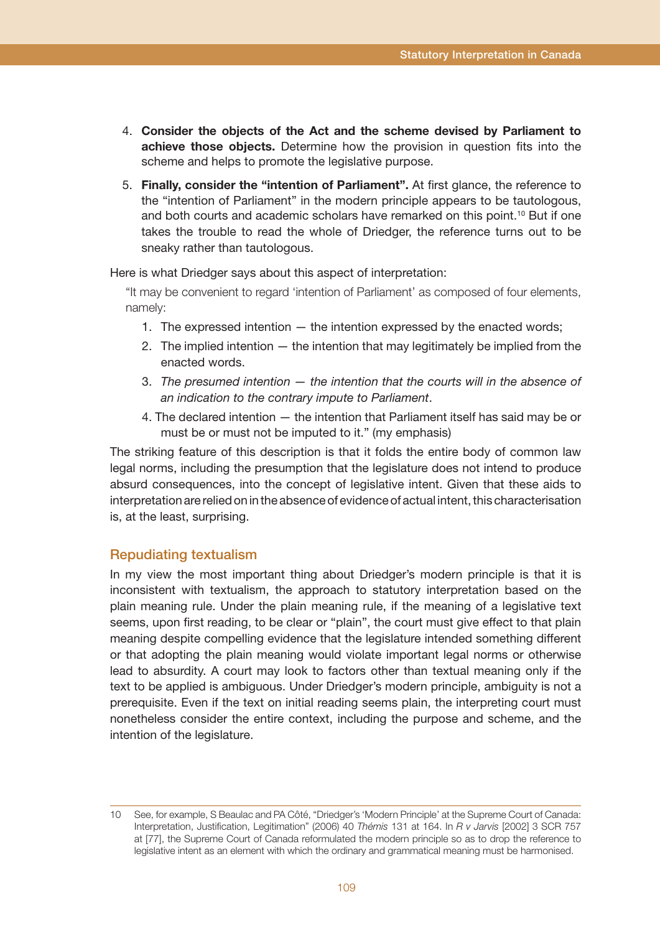- 4. **Consider the objects of the Act and the scheme devised by Parliament to achieve those objects.** Determine how the provision in question fits into the scheme and helps to promote the legislative purpose.
- 5. **Finally, consider the "intention of Parliament".** At first glance, the reference to the "intention of Parliament" in the modern principle appears to be tautologous, and both courts and academic scholars have remarked on this point.<sup>10</sup> But if one takes the trouble to read the whole of Driedger, the reference turns out to be sneaky rather than tautologous.

Here is what Driedger says about this aspect of interpretation:

"It may be convenient to regard 'intention of Parliament' as composed of four elements, namely:

- 1. The expressed intention the intention expressed by the enacted words;
- 2. The implied intention the intention that may legitimately be implied from the enacted words.
- 3. *The presumed intention the intention that the courts will in the absence of an indication to the contrary impute to Parliament*.
- 4. The declared intention the intention that Parliament itself has said may be or must be or must not be imputed to it." (my emphasis)

The striking feature of this description is that it folds the entire body of common law legal norms, including the presumption that the legislature does not intend to produce absurd consequences, into the concept of legislative intent. Given that these aids to interpretation are relied on in the absence of evidence of actual intent, this characterisation is, at the least, surprising.

## Repudiating textualism

In my view the most important thing about Driedger's modern principle is that it is inconsistent with textualism, the approach to statutory interpretation based on the plain meaning rule. Under the plain meaning rule, if the meaning of a legislative text seems, upon first reading, to be clear or "plain", the court must give effect to that plain meaning despite compelling evidence that the legislature intended something different or that adopting the plain meaning would violate important legal norms or otherwise lead to absurdity. A court may look to factors other than textual meaning only if the text to be applied is ambiguous. Under Driedger's modern principle, ambiguity is not a prerequisite. Even if the text on initial reading seems plain, the interpreting court must nonetheless consider the entire context, including the purpose and scheme, and the intention of the legislature.

<sup>10</sup> See, for example, S Beaulac and PA Côté, "Driedger's 'Modern Principle' at the Supreme Court of Canada: Interpretation, Justification, Legitimation" (2006) 40 *Thémis* 131 at 164. In *R v Jarvis* [2002] 3 SCR 757 at [77], the Supreme Court of Canada reformulated the modern principle so as to drop the reference to legislative intent as an element with which the ordinary and grammatical meaning must be harmonised.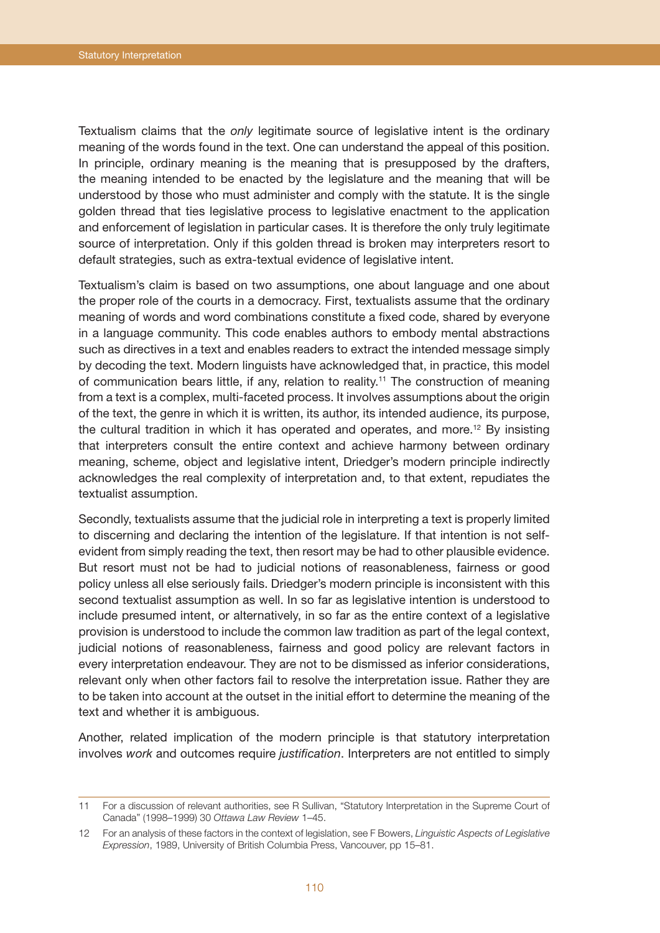Textualism claims that the *only* legitimate source of legislative intent is the ordinary meaning of the words found in the text. One can understand the appeal of this position. In principle, ordinary meaning is the meaning that is presupposed by the drafters, the meaning intended to be enacted by the legislature and the meaning that will be understood by those who must administer and comply with the statute. It is the single golden thread that ties legislative process to legislative enactment to the application and enforcement of legislation in particular cases. It is therefore the only truly legitimate source of interpretation. Only if this golden thread is broken may interpreters resort to default strategies, such as extra-textual evidence of legislative intent.

Textualism's claim is based on two assumptions, one about language and one about the proper role of the courts in a democracy. First, textualists assume that the ordinary meaning of words and word combinations constitute a fixed code, shared by everyone in a language community. This code enables authors to embody mental abstractions such as directives in a text and enables readers to extract the intended message simply by decoding the text. Modern linguists have acknowledged that, in practice, this model of communication bears little, if any, relation to reality.11 The construction of meaning from a text is a complex, multi-faceted process. It involves assumptions about the origin of the text, the genre in which it is written, its author, its intended audience, its purpose, the cultural tradition in which it has operated and operates, and more.<sup>12</sup> By insisting that interpreters consult the entire context and achieve harmony between ordinary meaning, scheme, object and legislative intent, Driedger's modern principle indirectly acknowledges the real complexity of interpretation and, to that extent, repudiates the textualist assumption.

Secondly, textualists assume that the judicial role in interpreting a text is properly limited to discerning and declaring the intention of the legislature. If that intention is not selfevident from simply reading the text, then resort may be had to other plausible evidence. But resort must not be had to judicial notions of reasonableness, fairness or good policy unless all else seriously fails. Driedger's modern principle is inconsistent with this second textualist assumption as well. In so far as legislative intention is understood to include presumed intent, or alternatively, in so far as the entire context of a legislative provision is understood to include the common law tradition as part of the legal context, judicial notions of reasonableness, fairness and good policy are relevant factors in every interpretation endeavour. They are not to be dismissed as inferior considerations, relevant only when other factors fail to resolve the interpretation issue. Rather they are to be taken into account at the outset in the initial effort to determine the meaning of the text and whether it is ambiguous.

Another, related implication of the modern principle is that statutory interpretation involves *work* and outcomes require *justification*. Interpreters are not entitled to simply

<sup>11</sup> For a discussion of relevant authorities, see R Sullivan, "Statutory Interpretation in the Supreme Court of Canada" (1998–1999) 30 *Ottawa Law Review* 1–45.

<sup>12</sup> For an analysis of these factors in the context of legislation, see F Bowers, *Linguistic Aspects of Legislative Expression*, 1989, University of British Columbia Press, Vancouver, pp 15–81.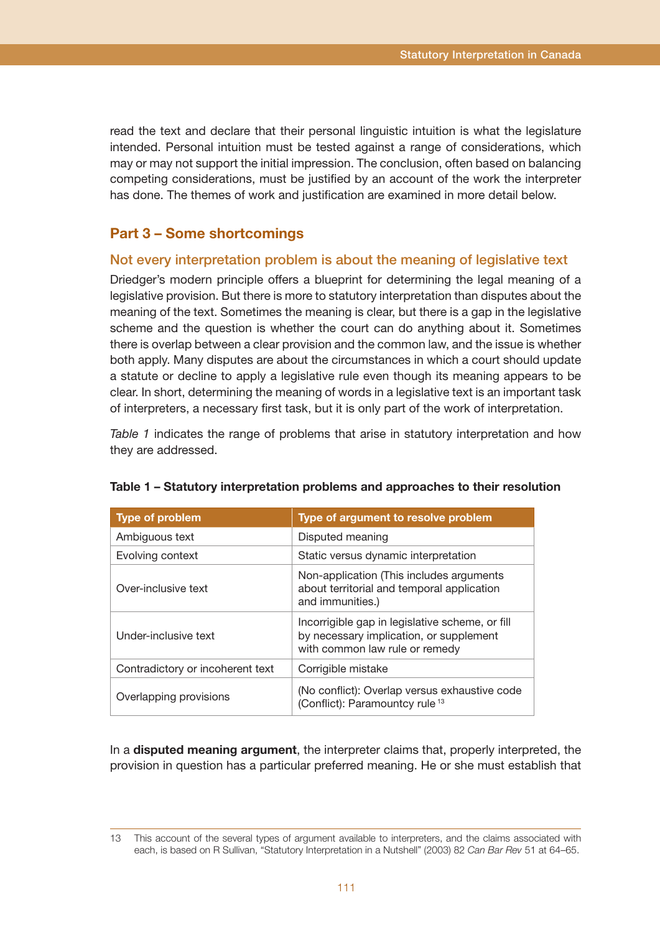read the text and declare that their personal linguistic intuition is what the legislature intended. Personal intuition must be tested against a range of considerations, which may or may not support the initial impression. The conclusion, often based on balancing competing considerations, must be justified by an account of the work the interpreter has done. The themes of work and justification are examined in more detail below.

# **Part 3 – Some shortcomings**

#### Not every interpretation problem is about the meaning of legislative text

Driedger's modern principle offers a blueprint for determining the legal meaning of a legislative provision. But there is more to statutory interpretation than disputes about the meaning of the text. Sometimes the meaning is clear, but there is a gap in the legislative scheme and the question is whether the court can do anything about it. Sometimes there is overlap between a clear provision and the common law, and the issue is whether both apply. Many disputes are about the circumstances in which a court should update a statute or decline to apply a legislative rule even though its meaning appears to be clear. In short, determining the meaning of words in a legislative text is an important task of interpreters, a necessary first task, but it is only part of the work of interpretation.

*Table 1* indicates the range of problems that arise in statutory interpretation and how they are addressed.

| Type of problem                  | Type of argument to resolve problem                                                                                          |
|----------------------------------|------------------------------------------------------------------------------------------------------------------------------|
| Ambiguous text                   | Disputed meaning                                                                                                             |
| Evolving context                 | Static versus dynamic interpretation                                                                                         |
| Over-inclusive text              | Non-application (This includes arguments<br>about territorial and temporal application<br>and immunities.)                   |
| Under-inclusive text             | Incorrigible gap in legislative scheme, or fill<br>by necessary implication, or supplement<br>with common law rule or remedy |
| Contradictory or incoherent text | Corrigible mistake                                                                                                           |
| Overlapping provisions           | (No conflict): Overlap versus exhaustive code<br>(Conflict): Paramountcy rule <sup>13</sup>                                  |

#### **Table 1 – Statutory interpretation problems and approaches to their resolution**

In a **disputed meaning argument**, the interpreter claims that, properly interpreted, the provision in question has a particular preferred meaning. He or she must establish that

<sup>13</sup> This account of the several types of argument available to interpreters, and the claims associated with each, is based on R Sullivan, "Statutory Interpretation in a Nutshell" (2003) 82 *Can Bar Rev* 51 at 64–65.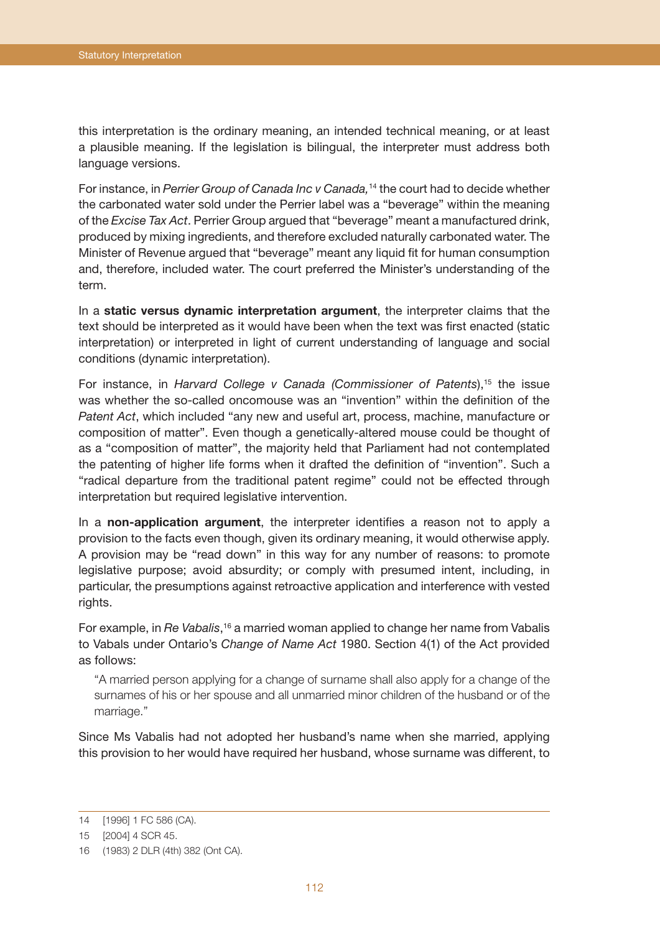this interpretation is the ordinary meaning, an intended technical meaning, or at least a plausible meaning. If the legislation is bilingual, the interpreter must address both language versions.

For instance, in *Perrier Group of Canada Inc v Canada,*14 the court had to decide whether the carbonated water sold under the Perrier label was a "beverage" within the meaning of the *Excise Tax Act*. Perrier Group argued that "beverage" meant a manufactured drink, produced by mixing ingredients, and therefore excluded naturally carbonated water. The Minister of Revenue argued that "beverage" meant any liquid fit for human consumption and, therefore, included water. The court preferred the Minister's understanding of the term.

In a **static versus dynamic interpretation argument**, the interpreter claims that the text should be interpreted as it would have been when the text was first enacted (static interpretation) or interpreted in light of current understanding of language and social conditions (dynamic interpretation).

For instance, in *Harvard College v Canada (Commissioner of Patents*),15 the issue was whether the so-called oncomouse was an "invention" within the definition of the *Patent Act*, which included "any new and useful art, process, machine, manufacture or composition of matter". Even though a genetically-altered mouse could be thought of as a "composition of matter", the majority held that Parliament had not contemplated the patenting of higher life forms when it drafted the definition of "invention". Such a "radical departure from the traditional patent regime" could not be effected through interpretation but required legislative intervention.

In a **non-application argument**, the interpreter identifies a reason not to apply a provision to the facts even though, given its ordinary meaning, it would otherwise apply. A provision may be "read down" in this way for any number of reasons: to promote legislative purpose; avoid absurdity; or comply with presumed intent, including, in particular, the presumptions against retroactive application and interference with vested rights.

For example, in *Re Vabalis*,<sup>16</sup> a married woman applied to change her name from Vabalis to Vabals under Ontario's *Change of Name Act* 1980. Section 4(1) of the Act provided as follows:

"A married person applying for a change of surname shall also apply for a change of the surnames of his or her spouse and all unmarried minor children of the husband or of the marriage."

Since Ms Vabalis had not adopted her husband's name when she married, applying this provision to her would have required her husband, whose surname was different, to

<sup>14</sup> [1996] 1 FC 586 (CA).

<sup>15</sup> [2004] 4 SCR 45.

<sup>16</sup> (1983) 2 DLR (4th) 382 (Ont CA).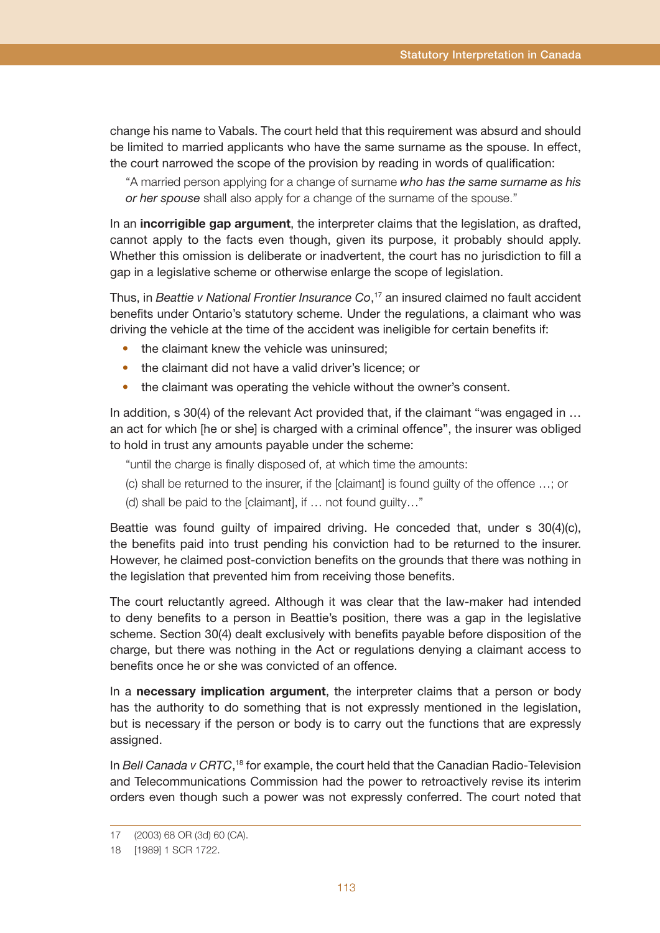change his name to Vabals. The court held that this requirement was absurd and should be limited to married applicants who have the same surname as the spouse. In effect, the court narrowed the scope of the provision by reading in words of qualification:

"A married person applying for a change of surname *who has the same surname as his or her spouse* shall also apply for a change of the surname of the spouse."

In an **incorrigible gap argument**, the interpreter claims that the legislation, as drafted, cannot apply to the facts even though, given its purpose, it probably should apply. Whether this omission is deliberate or inadvertent, the court has no jurisdiction to fill a gap in a legislative scheme or otherwise enlarge the scope of legislation.

Thus, in *Beattie v National Frontier Insurance Co*, 17 an insured claimed no fault accident benefits under Ontario's statutory scheme. Under the regulations, a claimant who was driving the vehicle at the time of the accident was ineligible for certain benefits if:

- the claimant knew the vehicle was uninsured;
- the claimant did not have a valid driver's licence; or
- the claimant was operating the vehicle without the owner's consent.

In addition, s 30(4) of the relevant Act provided that, if the claimant "was engaged in … an act for which [he or she] is charged with a criminal offence", the insurer was obliged to hold in trust any amounts payable under the scheme:

"until the charge is finally disposed of, at which time the amounts:

- (c) shall be returned to the insurer, if the [claimant] is found guilty of the offence …; or
- (d) shall be paid to the [claimant], if … not found guilty…"

Beattie was found guilty of impaired driving. He conceded that, under s 30(4)(c), the benefits paid into trust pending his conviction had to be returned to the insurer. However, he claimed post-conviction benefits on the grounds that there was nothing in the legislation that prevented him from receiving those benefits.

The court reluctantly agreed. Although it was clear that the law-maker had intended to deny benefits to a person in Beattie's position, there was a gap in the legislative scheme. Section 30(4) dealt exclusively with benefits payable before disposition of the charge, but there was nothing in the Act or regulations denying a claimant access to benefits once he or she was convicted of an offence.

In a **necessary implication argument**, the interpreter claims that a person or body has the authority to do something that is not expressly mentioned in the legislation, but is necessary if the person or body is to carry out the functions that are expressly assigned.

In *Bell Canada v CRTC*,<sup>18</sup> for example, the court held that the Canadian Radio-Television and Telecommunications Commission had the power to retroactively revise its interim orders even though such a power was not expressly conferred. The court noted that

<sup>17</sup> (2003) 68 OR (3d) 60 (CA).

<sup>18</sup> [1989] 1 SCR 1722.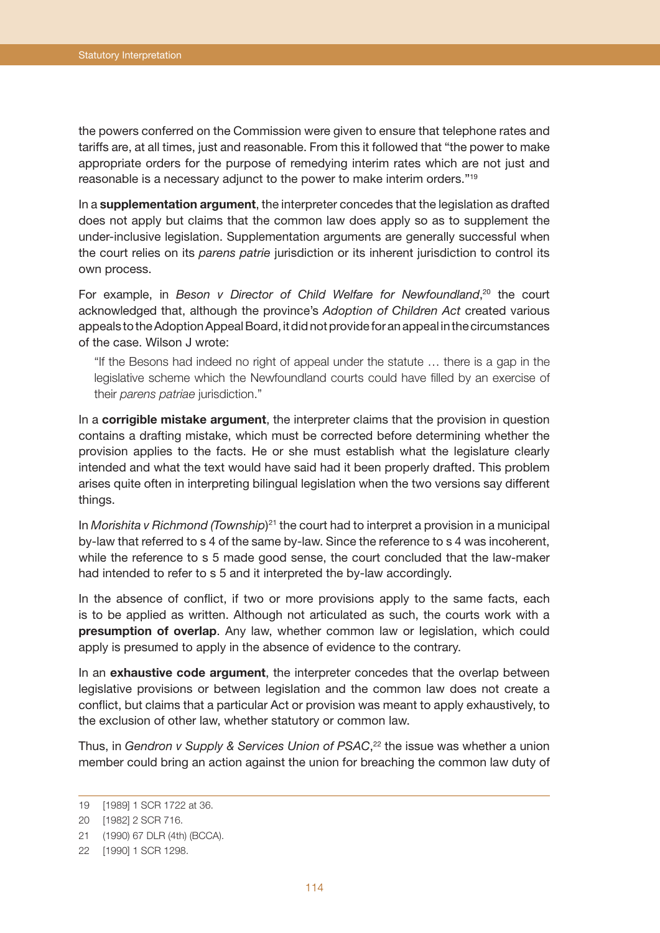the powers conferred on the Commission were given to ensure that telephone rates and tariffs are, at all times, just and reasonable. From this it followed that "the power to make appropriate orders for the purpose of remedying interim rates which are not just and reasonable is a necessary adjunct to the power to make interim orders."19

In a **supplementation argument**, the interpreter concedes that the legislation as drafted does not apply but claims that the common law does apply so as to supplement the under-inclusive legislation. Supplementation arguments are generally successful when the court relies on its *parens patrie* jurisdiction or its inherent jurisdiction to control its own process.

For example, in *Beson v Director of Child Welfare for Newfoundland*, 20 the court acknowledged that, although the province's *Adoption of Children Act* created various appeals to the Adoption Appeal Board, it did not provide for an appeal in the circumstances of the case. Wilson J wrote:

"If the Besons had indeed no right of appeal under the statute … there is a gap in the legislative scheme which the Newfoundland courts could have filled by an exercise of their *parens patriae* jurisdiction."

In a **corrigible mistake argument**, the interpreter claims that the provision in question contains a drafting mistake, which must be corrected before determining whether the provision applies to the facts. He or she must establish what the legislature clearly intended and what the text would have said had it been properly drafted. This problem arises quite often in interpreting bilingual legislation when the two versions say different things.

In *Morishita v Richmond (Township*) 21 the court had to interpret a provision in a municipal by-law that referred to s 4 of the same by-law. Since the reference to s 4 was incoherent, while the reference to s 5 made good sense, the court concluded that the law-maker had intended to refer to s 5 and it interpreted the by-law accordingly.

In the absence of conflict, if two or more provisions apply to the same facts, each is to be applied as written. Although not articulated as such, the courts work with a **presumption of overlap**. Any law, whether common law or legislation, which could apply is presumed to apply in the absence of evidence to the contrary.

In an **exhaustive code argument**, the interpreter concedes that the overlap between legislative provisions or between legislation and the common law does not create a conflict, but claims that a particular Act or provision was meant to apply exhaustively, to the exclusion of other law, whether statutory or common law.

Thus, in *Gendron v Supply & Services Union of PSAC*, 22 the issue was whether a union member could bring an action against the union for breaching the common law duty of

<sup>19</sup> [1989] 1 SCR 1722 at 36.

<sup>20</sup> [1982] 2 SCR 716.

<sup>21</sup> (1990) 67 DLR (4th) (BCCA).

<sup>22</sup> [1990] 1 SCR 1298.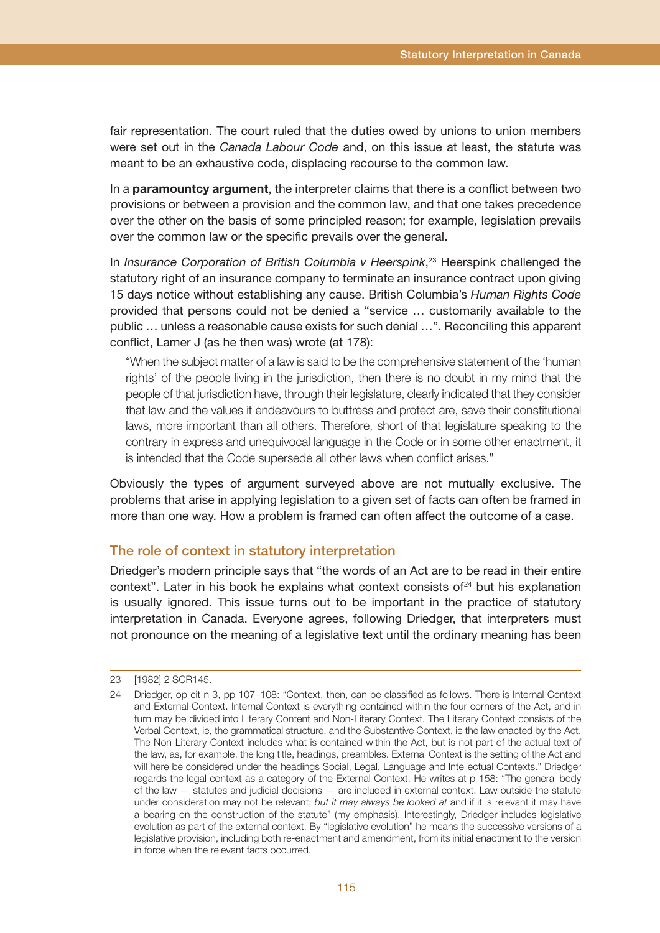fair representation. The court ruled that the duties owed by unions to union members were set out in the *Canada Labour Code* and, on this issue at least, the statute was meant to be an exhaustive code, displacing recourse to the common law.

In a **paramountcy argument**, the interpreter claims that there is a conflict between two provisions or between a provision and the common law, and that one takes precedence over the other on the basis of some principled reason; for example, legislation prevails over the common law or the specific prevails over the general.

In *Insurance Corporation of British Columbia v Heerspink*, 23 Heerspink challenged the statutory right of an insurance company to terminate an insurance contract upon giving 15 days notice without establishing any cause. British Columbia's *Human Rights Code* provided that persons could not be denied a "service … customarily available to the public … unless a reasonable cause exists for such denial …". Reconciling this apparent conflict, Lamer J (as he then was) wrote (at 178):

"When the subject matter of a law is said to be the comprehensive statement of the 'human rights' of the people living in the jurisdiction, then there is no doubt in my mind that the people of that jurisdiction have, through their legislature, clearly indicated that they consider that law and the values it endeavours to buttress and protect are, save their constitutional laws, more important than all others. Therefore, short of that legislature speaking to the contrary in express and unequivocal language in the Code or in some other enactment, it is intended that the Code supersede all other laws when conflict arises."

Obviously the types of argument surveyed above are not mutually exclusive. The problems that arise in applying legislation to a given set of facts can often be framed in more than one way. How a problem is framed can often affect the outcome of a case.

## The role of context in statutory interpretation

Driedger's modern principle says that "the words of an Act are to be read in their entire context". Later in his book he explains what context consists of $24$  but his explanation is usually ignored. This issue turns out to be important in the practice of statutory interpretation in Canada. Everyone agrees, following Driedger, that interpreters must not pronounce on the meaning of a legislative text until the ordinary meaning has been

<sup>23</sup> [1982] 2 SCR145.

<sup>24</sup> Driedger, op cit n 3, pp 107–108: "Context, then, can be classified as follows. There is Internal Context and External Context. Internal Context is everything contained within the four corners of the Act, and in turn may be divided into Literary Content and Non-Literary Context. The Literary Context consists of the Verbal Context, ie, the grammatical structure, and the Substantive Context, ie the law enacted by the Act. The Non-Literary Context includes what is contained within the Act, but is not part of the actual text of the law, as, for example, the long title, headings, preambles. External Context is the setting of the Act and will here be considered under the headings Social, Legal, Language and Intellectual Contexts." Driedger regards the legal context as a category of the External Context. He writes at p 158: "The general body of the law — statutes and judicial decisions — are included in external context. Law outside the statute under consideration may not be relevant; *but it may always be looked at* and if it is relevant it may have a bearing on the construction of the statute" (my emphasis). Interestingly, Driedger includes legislative evolution as part of the external context. By "legislative evolution" he means the successive versions of a legislative provision, including both re-enactment and amendment, from its initial enactment to the version in force when the relevant facts occurred.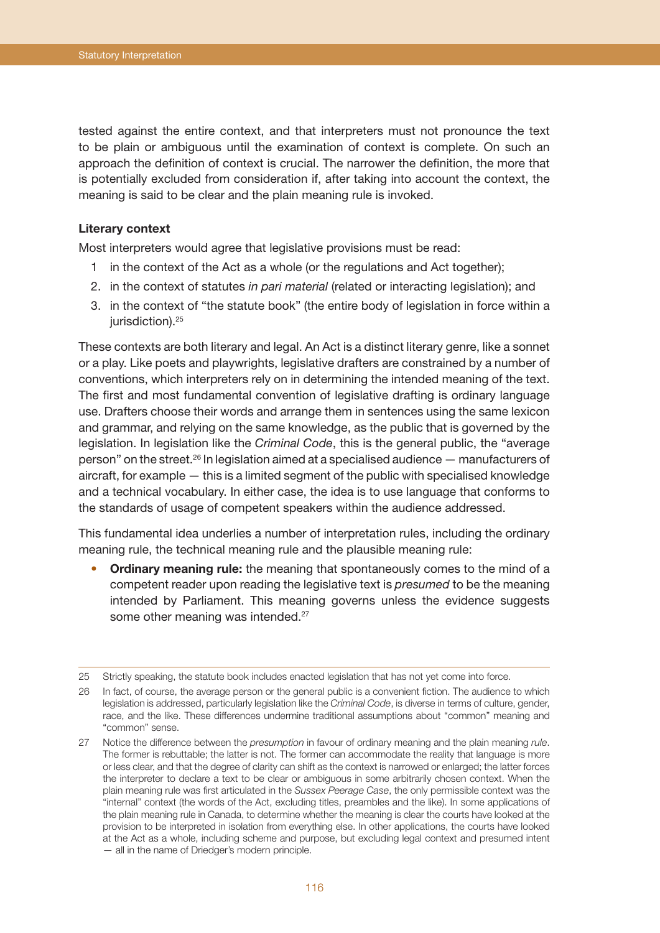tested against the entire context, and that interpreters must not pronounce the text to be plain or ambiguous until the examination of context is complete. On such an approach the definition of context is crucial. The narrower the definition, the more that is potentially excluded from consideration if, after taking into account the context, the meaning is said to be clear and the plain meaning rule is invoked.

#### **Literary context**

Most interpreters would agree that legislative provisions must be read:

- 1 in the context of the Act as a whole (or the regulations and Act together);
- 2. in the context of statutes *in pari material* (related or interacting legislation); and
- 3. in the context of "the statute book" (the entire body of legislation in force within a jurisdiction).<sup>25</sup>

These contexts are both literary and legal. An Act is a distinct literary genre, like a sonnet or a play. Like poets and playwrights, legislative drafters are constrained by a number of conventions, which interpreters rely on in determining the intended meaning of the text. The first and most fundamental convention of legislative drafting is ordinary language use. Drafters choose their words and arrange them in sentences using the same lexicon and grammar, and relying on the same knowledge, as the public that is governed by the legislation. In legislation like the *Criminal Code*, this is the general public, the "average person" on the street.26 In legislation aimed at a specialised audience — manufacturers of aircraft, for example — this is a limited segment of the public with specialised knowledge and a technical vocabulary. In either case, the idea is to use language that conforms to the standards of usage of competent speakers within the audience addressed.

This fundamental idea underlies a number of interpretation rules, including the ordinary meaning rule, the technical meaning rule and the plausible meaning rule:

• **Ordinary meaning rule:** the meaning that spontaneously comes to the mind of a competent reader upon reading the legislative text is *presumed* to be the meaning intended by Parliament. This meaning governs unless the evidence suggests some other meaning was intended.<sup>27</sup>

<sup>25</sup> Strictly speaking, the statute book includes enacted legislation that has not yet come into force.

<sup>26</sup> In fact, of course, the average person or the general public is a convenient fiction. The audience to which legislation is addressed, particularly legislation like the *Criminal Code*, is diverse in terms of culture, gender, race, and the like. These differences undermine traditional assumptions about "common" meaning and "common" sense.

<sup>27</sup> Notice the difference between the *presumption* in favour of ordinary meaning and the plain meaning *rule*. The former is rebuttable; the latter is not. The former can accommodate the reality that language is more or less clear, and that the degree of clarity can shift as the context is narrowed or enlarged; the latter forces the interpreter to declare a text to be clear or ambiguous in some arbitrarily chosen context. When the plain meaning rule was first articulated in the *Sussex Peerage Case*, the only permissible context was the "internal" context (the words of the Act, excluding titles, preambles and the like). In some applications of the plain meaning rule in Canada, to determine whether the meaning is clear the courts have looked at the provision to be interpreted in isolation from everything else. In other applications, the courts have looked at the Act as a whole, including scheme and purpose, but excluding legal context and presumed intent — all in the name of Driedger's modern principle.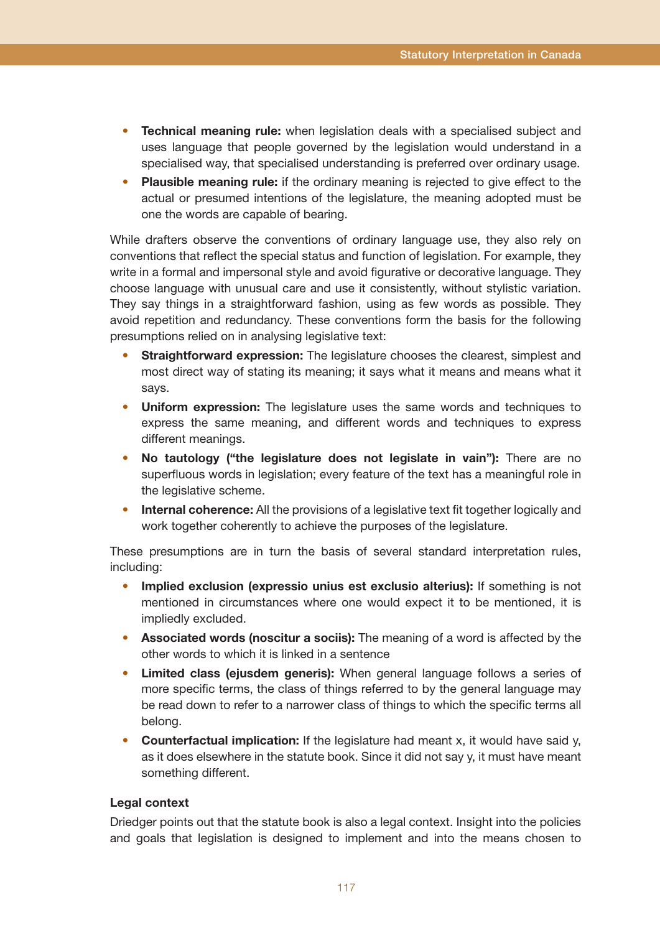- **Technical meaning rule:** when legislation deals with a specialised subject and uses language that people governed by the legislation would understand in a specialised way, that specialised understanding is preferred over ordinary usage.
- **Plausible meaning rule:** if the ordinary meaning is rejected to give effect to the actual or presumed intentions of the legislature, the meaning adopted must be one the words are capable of bearing.

While drafters observe the conventions of ordinary language use, they also rely on conventions that reflect the special status and function of legislation. For example, they write in a formal and impersonal style and avoid figurative or decorative language. They choose language with unusual care and use it consistently, without stylistic variation. They say things in a straightforward fashion, using as few words as possible. They avoid repetition and redundancy. These conventions form the basis for the following presumptions relied on in analysing legislative text:

- **Straightforward expression:** The legislature chooses the clearest, simplest and most direct way of stating its meaning; it says what it means and means what it says.
- **Uniform expression:** The legislature uses the same words and techniques to express the same meaning, and different words and techniques to express different meanings.
- **No tautology ("the legislature does not legislate in vain"):** There are no superfluous words in legislation; every feature of the text has a meaningful role in the legislative scheme.
- **Internal coherence:** All the provisions of a legislative text fit together logically and work together coherently to achieve the purposes of the legislature.

These presumptions are in turn the basis of several standard interpretation rules, including:

- **Implied exclusion (expressio unius est exclusio alterius):** If something is not mentioned in circumstances where one would expect it to be mentioned, it is impliedly excluded.
- **Associated words (noscitur a sociis):** The meaning of a word is affected by the other words to which it is linked in a sentence
- **Limited class (ejusdem generis):** When general language follows a series of more specific terms, the class of things referred to by the general language may be read down to refer to a narrower class of things to which the specific terms all belong.
- **Counterfactual implication:** If the legislature had meant x, it would have said y, as it does elsewhere in the statute book. Since it did not say y, it must have meant something different.

#### **Legal context**

Driedger points out that the statute book is also a legal context. Insight into the policies and goals that legislation is designed to implement and into the means chosen to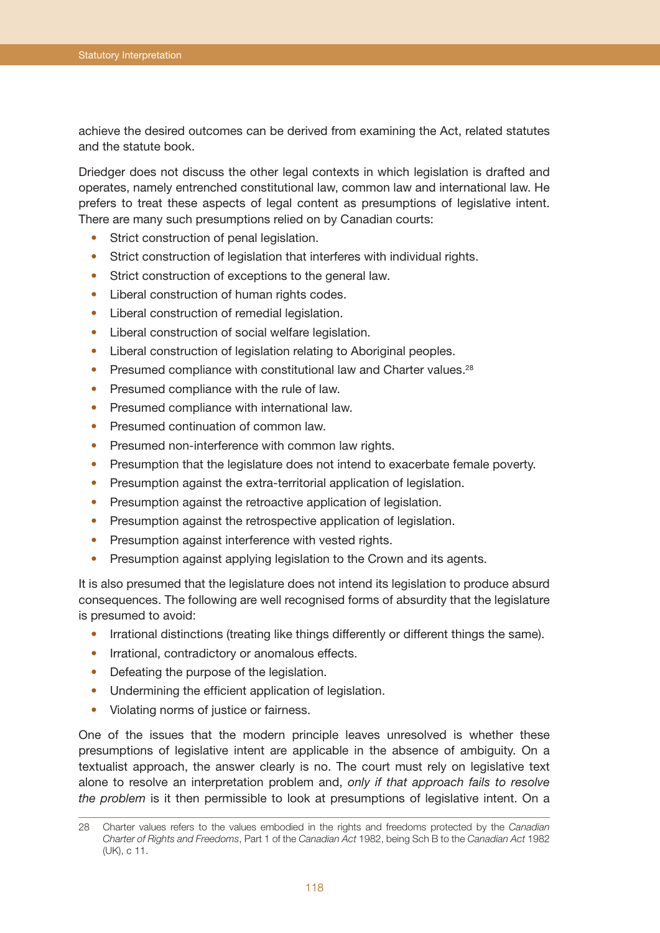achieve the desired outcomes can be derived from examining the Act, related statutes and the statute book.

Driedger does not discuss the other legal contexts in which legislation is drafted and operates, namely entrenched constitutional law, common law and international law. He prefers to treat these aspects of legal content as presumptions of legislative intent. There are many such presumptions relied on by Canadian courts:

- Strict construction of penal legislation.
- Strict construction of legislation that interferes with individual rights.
- Strict construction of exceptions to the general law.
- Liberal construction of human rights codes.
- Liberal construction of remedial legislation.
- Liberal construction of social welfare legislation.
- Liberal construction of legislation relating to Aboriginal peoples.
- Presumed compliance with constitutional law and Charter values.<sup>28</sup>
- Presumed compliance with the rule of law.
- Presumed compliance with international law.
- Presumed continuation of common law.
- Presumed non-interference with common law rights.
- Presumption that the legislature does not intend to exacerbate female poverty.
- Presumption against the extra-territorial application of legislation.
- Presumption against the retroactive application of legislation.
- Presumption against the retrospective application of legislation.
- Presumption against interference with vested rights.
- Presumption against applying legislation to the Crown and its agents.

It is also presumed that the legislature does not intend its legislation to produce absurd consequences. The following are well recognised forms of absurdity that the legislature is presumed to avoid:

- Irrational distinctions (treating like things differently or different things the same).
- Irrational, contradictory or anomalous effects.
- Defeating the purpose of the legislation.
- Undermining the efficient application of legislation.
- Violating norms of justice or fairness.

One of the issues that the modern principle leaves unresolved is whether these presumptions of legislative intent are applicable in the absence of ambiguity. On a textualist approach, the answer clearly is no. The court must rely on legislative text alone to resolve an interpretation problem and, *only if that approach fails to resolve the problem* is it then permissible to look at presumptions of legislative intent. On a

<sup>28</sup> Charter values refers to the values embodied in the rights and freedoms protected by the *Canadian Charter of Rights and Freedoms*, Part 1 of the *Canadian Act* 1982, being Sch B to the *Canadian Act* 1982 (UK), c 11.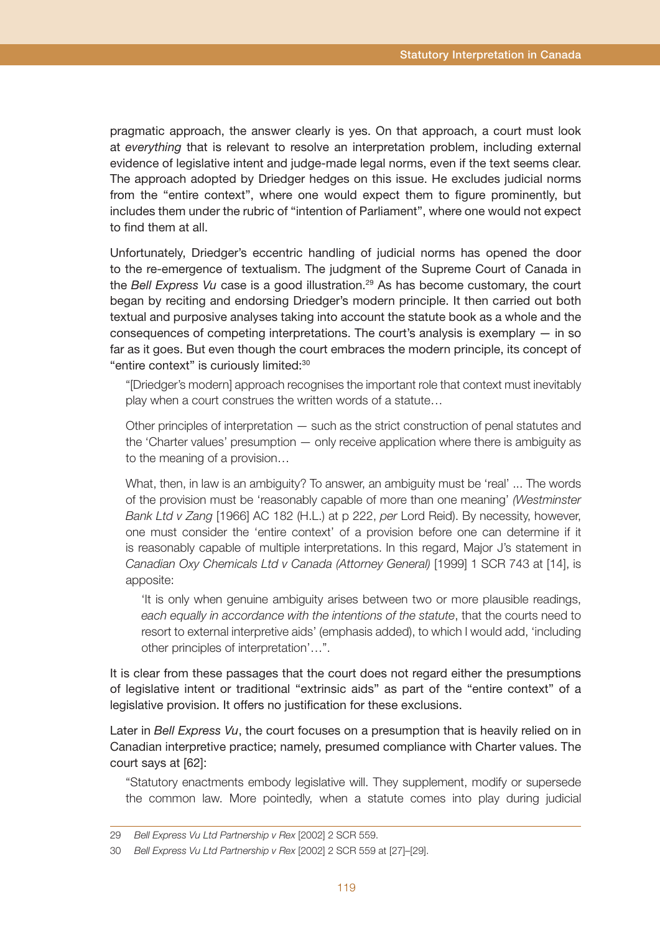pragmatic approach, the answer clearly is yes. On that approach, a court must look at *everything* that is relevant to resolve an interpretation problem, including external evidence of legislative intent and judge-made legal norms, even if the text seems clear. The approach adopted by Driedger hedges on this issue. He excludes judicial norms from the "entire context", where one would expect them to figure prominently, but includes them under the rubric of "intention of Parliament", where one would not expect to find them at all.

Unfortunately, Driedger's eccentric handling of judicial norms has opened the door to the re-emergence of textualism. The judgment of the Supreme Court of Canada in the *Bell Express Vu* case is a good illustration.<sup>29</sup> As has become customary, the court began by reciting and endorsing Driedger's modern principle. It then carried out both textual and purposive analyses taking into account the statute book as a whole and the consequences of competing interpretations. The court's analysis is exemplary — in so far as it goes. But even though the court embraces the modern principle, its concept of "entire context" is curiously limited:30

"[Driedger's modern] approach recognises the important role that context must inevitably play when a court construes the written words of a statute…

Other principles of interpretation — such as the strict construction of penal statutes and the 'Charter values' presumption — only receive application where there is ambiguity as to the meaning of a provision…

What, then, in law is an ambiguity? To answer, an ambiguity must be 'real' ... The words of the provision must be 'reasonably capable of more than one meaning' *(Westminster Bank Ltd v Zang* [1966] AC 182 (H.L.) at p 222, *per* Lord Reid). By necessity, however, one must consider the 'entire context' of a provision before one can determine if it is reasonably capable of multiple interpretations. In this regard, Major J's statement in *Canadian Oxy Chemicals Ltd v Canada (Attorney General)* [1999] 1 SCR 743 at [14], is apposite:

'It is only when genuine ambiguity arises between two or more plausible readings, *each equally in accordance with the intentions of the statute*, that the courts need to resort to external interpretive aids' (emphasis added), to which I would add, 'including other principles of interpretation'…".

It is clear from these passages that the court does not regard either the presumptions of legislative intent or traditional "extrinsic aids" as part of the "entire context" of a legislative provision. It offers no justification for these exclusions.

Later in *Bell Express Vu*, the court focuses on a presumption that is heavily relied on in Canadian interpretive practice; namely, presumed compliance with Charter values. The court says at [62]:

"Statutory enactments embody legislative will. They supplement, modify or supersede the common law. More pointedly, when a statute comes into play during judicial

<sup>29</sup> *Bell Express Vu Ltd Partnership v Rex* [2002] 2 SCR 559.

<sup>30</sup> *Bell Express Vu Ltd Partnership v Rex* [2002] 2 SCR 559 at [27]–[29].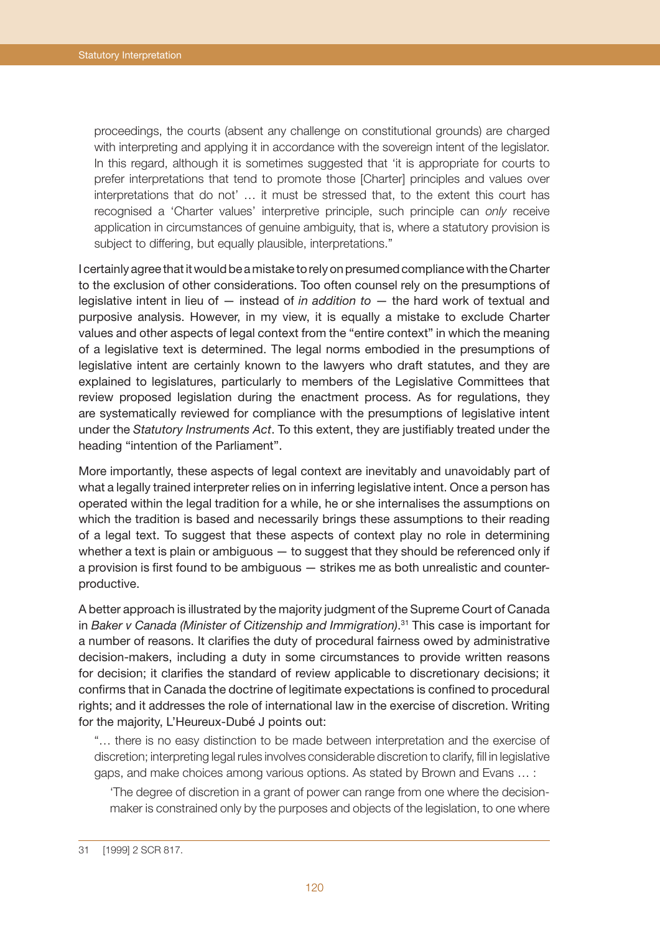proceedings, the courts (absent any challenge on constitutional grounds) are charged with interpreting and applying it in accordance with the sovereign intent of the legislator. In this regard, although it is sometimes suggested that 'it is appropriate for courts to prefer interpretations that tend to promote those [Charter] principles and values over interpretations that do not' … it must be stressed that, to the extent this court has recognised a 'Charter values' interpretive principle, such principle can *only* receive application in circumstances of genuine ambiguity, that is, where a statutory provision is subject to differing, but equally plausible, interpretations."

I certainly agree that it would be a mistake to rely on presumed compliance with the Charter to the exclusion of other considerations. Too often counsel rely on the presumptions of legislative intent in lieu of — instead of *in addition to* — the hard work of textual and purposive analysis. However, in my view, it is equally a mistake to exclude Charter values and other aspects of legal context from the "entire context" in which the meaning of a legislative text is determined. The legal norms embodied in the presumptions of legislative intent are certainly known to the lawyers who draft statutes, and they are explained to legislatures, particularly to members of the Legislative Committees that review proposed legislation during the enactment process. As for regulations, they are systematically reviewed for compliance with the presumptions of legislative intent under the *Statutory Instruments Act*. To this extent, they are justifiably treated under the heading "intention of the Parliament".

More importantly, these aspects of legal context are inevitably and unavoidably part of what a legally trained interpreter relies on in inferring legislative intent. Once a person has operated within the legal tradition for a while, he or she internalises the assumptions on which the tradition is based and necessarily brings these assumptions to their reading of a legal text. To suggest that these aspects of context play no role in determining whether a text is plain or ambiguous  $-$  to suggest that they should be referenced only if a provision is first found to be ambiguous — strikes me as both unrealistic and counterproductive.

A better approach is illustrated by the majority judgment of the Supreme Court of Canada in *Baker v Canada (Minister of Citizenship and Immigration)*. 31 This case is important for a number of reasons. It clarifies the duty of procedural fairness owed by administrative decision-makers, including a duty in some circumstances to provide written reasons for decision; it clarifies the standard of review applicable to discretionary decisions; it confirms that in Canada the doctrine of legitimate expectations is confined to procedural rights; and it addresses the role of international law in the exercise of discretion. Writing for the majority, L'Heureux-Dubé J points out:

"… there is no easy distinction to be made between interpretation and the exercise of discretion; interpreting legal rules involves considerable discretion to clarify, fill in legislative gaps, and make choices among various options. As stated by Brown and Evans … :

'The degree of discretion in a grant of power can range from one where the decisionmaker is constrained only by the purposes and objects of the legislation, to one where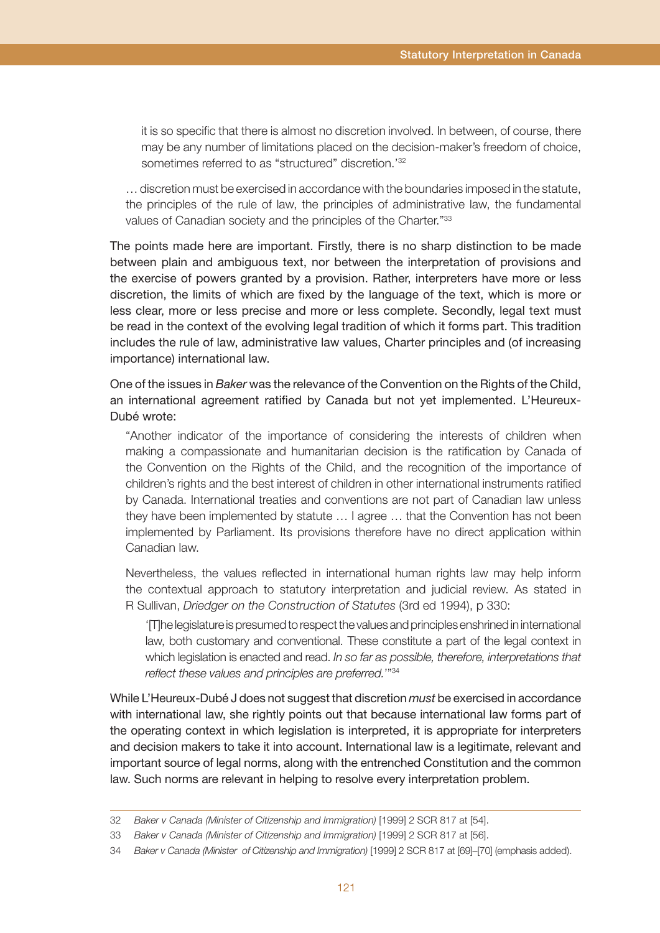it is so specific that there is almost no discretion involved. In between, of course, there may be any number of limitations placed on the decision-maker's freedom of choice, sometimes referred to as "structured" discretion.<sup>'32</sup>

… discretion must be exercised in accordance with the boundaries imposed in the statute, the principles of the rule of law, the principles of administrative law, the fundamental values of Canadian society and the principles of the Charter."33

The points made here are important. Firstly, there is no sharp distinction to be made between plain and ambiguous text, nor between the interpretation of provisions and the exercise of powers granted by a provision. Rather, interpreters have more or less discretion, the limits of which are fixed by the language of the text, which is more or less clear, more or less precise and more or less complete. Secondly, legal text must be read in the context of the evolving legal tradition of which it forms part. This tradition includes the rule of law, administrative law values, Charter principles and (of increasing importance) international law.

One of the issues in *Baker* was the relevance of the Convention on the Rights of the Child, an international agreement ratified by Canada but not yet implemented. L'Heureux-Dubé wrote:

"Another indicator of the importance of considering the interests of children when making a compassionate and humanitarian decision is the ratification by Canada of the Convention on the Rights of the Child, and the recognition of the importance of children's rights and the best interest of children in other international instruments ratified by Canada. International treaties and conventions are not part of Canadian law unless they have been implemented by statute … I agree … that the Convention has not been implemented by Parliament. Its provisions therefore have no direct application within Canadian law.

Nevertheless, the values reflected in international human rights law may help inform the contextual approach to statutory interpretation and judicial review. As stated in R Sullivan, *Driedger on the Construction of Statutes* (3rd ed 1994), p 330:

'[T]he legislature is presumed to respect the values and principles enshrined in international law, both customary and conventional. These constitute a part of the legal context in which legislation is enacted and read. *In so far as possible, therefore, interpretations that reflect these values and principles are preferred.*'"34

While L'Heureux-Dubé J does not suggest that discretion *must* be exercised in accordance with international law, she rightly points out that because international law forms part of the operating context in which legislation is interpreted, it is appropriate for interpreters and decision makers to take it into account. International law is a legitimate, relevant and important source of legal norms, along with the entrenched Constitution and the common law. Such norms are relevant in helping to resolve every interpretation problem.

<sup>32</sup> *Baker v Canada (Minister of Citizenship and Immigration)* [1999] 2 SCR 817 at [54].

<sup>33</sup> *Baker v Canada (Minister of Citizenship and Immigration)* [1999] 2 SCR 817 at [56].

<sup>34</sup> *Baker v Canada (Minister of Citizenship and Immigration)* [1999] 2 SCR 817 at [69]–[70] (emphasis added).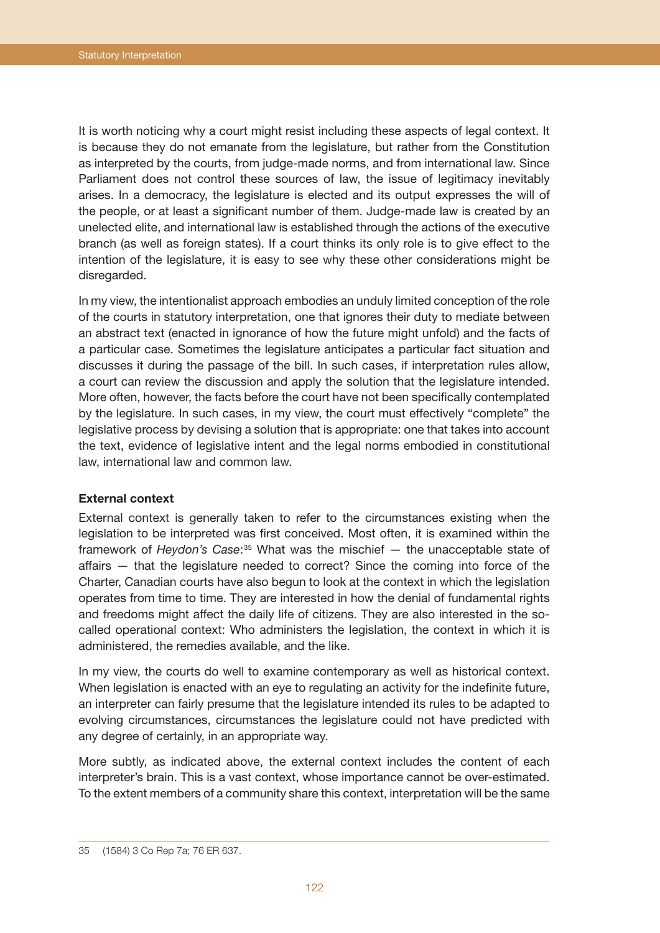It is worth noticing why a court might resist including these aspects of legal context. It is because they do not emanate from the legislature, but rather from the Constitution as interpreted by the courts, from judge-made norms, and from international law. Since Parliament does not control these sources of law, the issue of legitimacy inevitably arises. In a democracy, the legislature is elected and its output expresses the will of the people, or at least a significant number of them. Judge-made law is created by an unelected elite, and international law is established through the actions of the executive branch (as well as foreign states). If a court thinks its only role is to give effect to the intention of the legislature, it is easy to see why these other considerations might be disregarded.

In my view, the intentionalist approach embodies an unduly limited conception of the role of the courts in statutory interpretation, one that ignores their duty to mediate between an abstract text (enacted in ignorance of how the future might unfold) and the facts of a particular case. Sometimes the legislature anticipates a particular fact situation and discusses it during the passage of the bill. In such cases, if interpretation rules allow, a court can review the discussion and apply the solution that the legislature intended. More often, however, the facts before the court have not been specifically contemplated by the legislature. In such cases, in my view, the court must effectively "complete" the legislative process by devising a solution that is appropriate: one that takes into account the text, evidence of legislative intent and the legal norms embodied in constitutional law, international law and common law.

#### **External context**

External context is generally taken to refer to the circumstances existing when the legislation to be interpreted was first conceived. Most often, it is examined within the framework of *Heydon's Case*: 35 What was the mischief — the unacceptable state of affairs — that the legislature needed to correct? Since the coming into force of the Charter, Canadian courts have also begun to look at the context in which the legislation operates from time to time. They are interested in how the denial of fundamental rights and freedoms might affect the daily life of citizens. They are also interested in the socalled operational context: Who administers the legislation, the context in which it is administered, the remedies available, and the like.

In my view, the courts do well to examine contemporary as well as historical context. When legislation is enacted with an eye to regulating an activity for the indefinite future, an interpreter can fairly presume that the legislature intended its rules to be adapted to evolving circumstances, circumstances the legislature could not have predicted with any degree of certainly, in an appropriate way.

More subtly, as indicated above, the external context includes the content of each interpreter's brain. This is a vast context, whose importance cannot be over-estimated. To the extent members of a community share this context, interpretation will be the same

<sup>35</sup> (1584) 3 Co Rep 7a; 76 ER 637.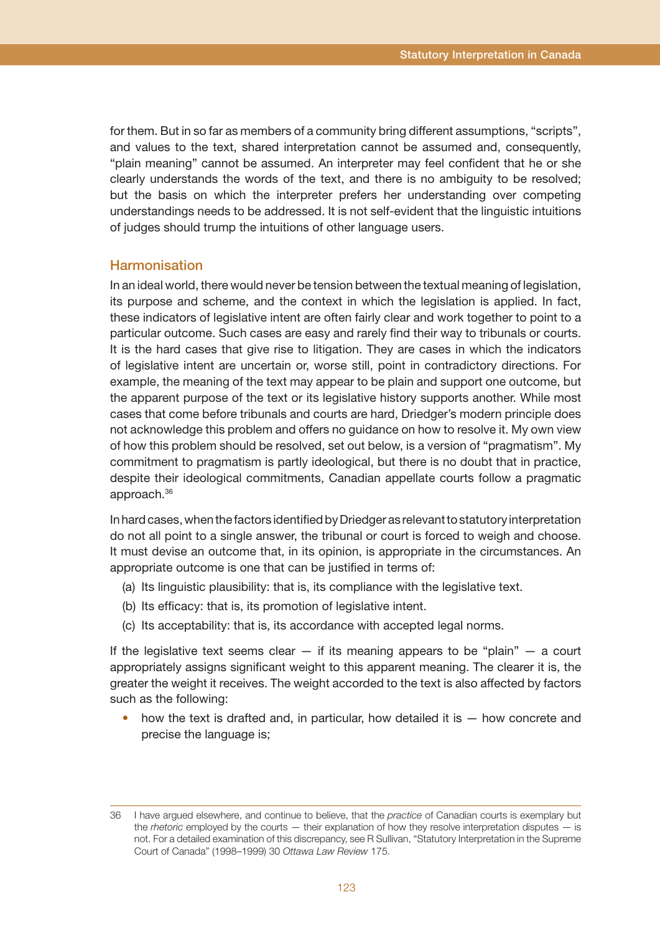for them. But in so far as members of a community bring different assumptions, "scripts", and values to the text, shared interpretation cannot be assumed and, consequently, "plain meaning" cannot be assumed. An interpreter may feel confident that he or she clearly understands the words of the text, and there is no ambiguity to be resolved; but the basis on which the interpreter prefers her understanding over competing understandings needs to be addressed. It is not self-evident that the linguistic intuitions of judges should trump the intuitions of other language users.

#### Harmonisation

In an ideal world, there would never be tension between the textual meaning of legislation, its purpose and scheme, and the context in which the legislation is applied. In fact, these indicators of legislative intent are often fairly clear and work together to point to a particular outcome. Such cases are easy and rarely find their way to tribunals or courts. It is the hard cases that give rise to litigation. They are cases in which the indicators of legislative intent are uncertain or, worse still, point in contradictory directions. For example, the meaning of the text may appear to be plain and support one outcome, but the apparent purpose of the text or its legislative history supports another. While most cases that come before tribunals and courts are hard, Driedger's modern principle does not acknowledge this problem and offers no guidance on how to resolve it. My own view of how this problem should be resolved, set out below, is a version of "pragmatism". My commitment to pragmatism is partly ideological, but there is no doubt that in practice, despite their ideological commitments, Canadian appellate courts follow a pragmatic approach.36

In hard cases, when the factors identified by Driedger as relevant to statutory interpretation do not all point to a single answer, the tribunal or court is forced to weigh and choose. It must devise an outcome that, in its opinion, is appropriate in the circumstances. An appropriate outcome is one that can be justified in terms of:

- (a) Its linguistic plausibility: that is, its compliance with the legislative text.
- (b) Its efficacy: that is, its promotion of legislative intent.
- (c) Its acceptability: that is, its accordance with accepted legal norms.

If the legislative text seems clear  $-$  if its meaning appears to be "plain"  $-$  a court appropriately assigns significant weight to this apparent meaning. The clearer it is, the greater the weight it receives. The weight accorded to the text is also affected by factors such as the following:

how the text is drafted and, in particular, how detailed it is  $-$  how concrete and precise the language is;

<sup>36</sup> I have argued elsewhere, and continue to believe, that the *practice* of Canadian courts is exemplary but the *rhetoric* employed by the courts — their explanation of how they resolve interpretation disputes — is not. For a detailed examination of this discrepancy, see R Sullivan, "Statutory Interpretation in the Supreme Court of Canada" (1998–1999) 30 *Ottawa Law Review* 175.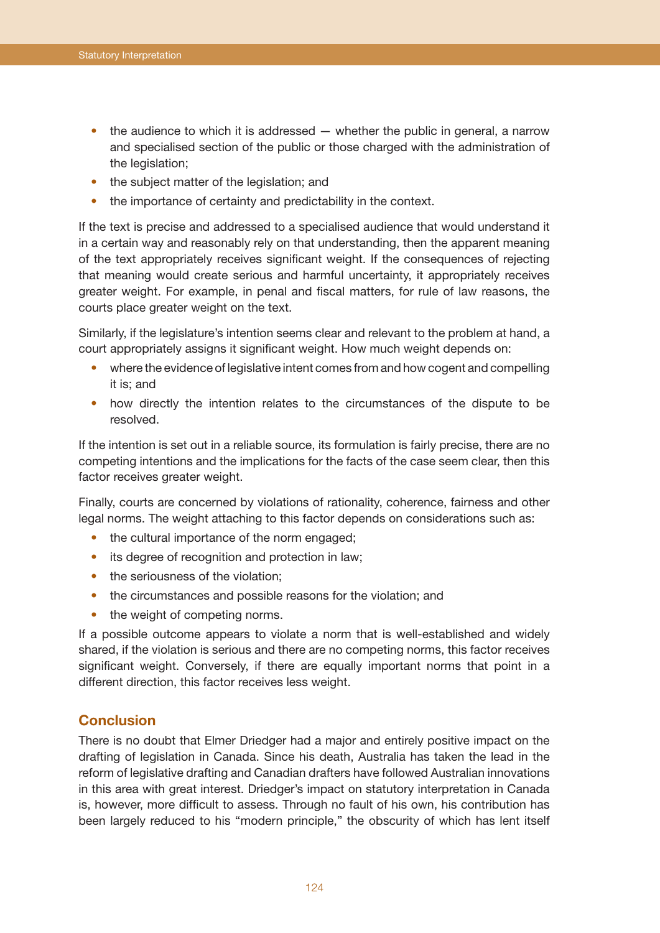- the audience to which it is addressed whether the public in general, a narrow and specialised section of the public or those charged with the administration of the legislation;
- the subject matter of the legislation; and
- the importance of certainty and predictability in the context.

If the text is precise and addressed to a specialised audience that would understand it in a certain way and reasonably rely on that understanding, then the apparent meaning of the text appropriately receives significant weight. If the consequences of rejecting that meaning would create serious and harmful uncertainty, it appropriately receives greater weight. For example, in penal and fiscal matters, for rule of law reasons, the courts place greater weight on the text.

Similarly, if the legislature's intention seems clear and relevant to the problem at hand, a court appropriately assigns it significant weight. How much weight depends on:

- where the evidence of legislative intent comes from and how cogent and compelling it is; and
- how directly the intention relates to the circumstances of the dispute to be resolved.

If the intention is set out in a reliable source, its formulation is fairly precise, there are no competing intentions and the implications for the facts of the case seem clear, then this factor receives greater weight.

Finally, courts are concerned by violations of rationality, coherence, fairness and other legal norms. The weight attaching to this factor depends on considerations such as:

- the cultural importance of the norm engaged;
- its degree of recognition and protection in law;
- the seriousness of the violation;
- the circumstances and possible reasons for the violation; and
- the weight of competing norms.

If a possible outcome appears to violate a norm that is well-established and widely shared, if the violation is serious and there are no competing norms, this factor receives significant weight. Conversely, if there are equally important norms that point in a different direction, this factor receives less weight.

### **Conclusion**

There is no doubt that Elmer Driedger had a major and entirely positive impact on the drafting of legislation in Canada. Since his death, Australia has taken the lead in the reform of legislative drafting and Canadian drafters have followed Australian innovations in this area with great interest. Driedger's impact on statutory interpretation in Canada is, however, more difficult to assess. Through no fault of his own, his contribution has been largely reduced to his "modern principle," the obscurity of which has lent itself